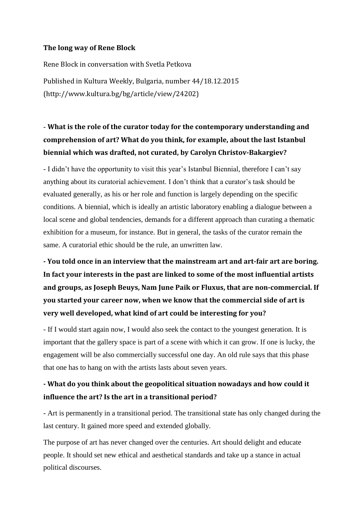## **The long way of Rene Block**

Rene Block in conversation with Svetla Petkova Published in Kultura Weekly, Bulgaria, number 44/18.12.2015 (http://www.kultura.bg/bg/article/view/24202)

## - **What is the role of the curator today for the contemporary understanding and comprehension of art? What do you think, for example, about the last Istanbul biennial which was drafted, not curated, by Carolyn Christov-Bakargiev?**

- I didn't have the opportunity to visit this year's Istanbul Biennial, therefore I can't say anything about its curatorial achievement. I don't think that a curator's task should be evaluated generally, as his or her role and function is largely depending on the specific conditions. A biennial, which is ideally an artistic laboratory enabling a dialogue between a local scene and global tendencies, demands for a different approach than curating a thematic exhibition for a museum, for instance. But in general, the tasks of the curator remain the same. A curatorial ethic should be the rule, an unwritten law.

**- You told once in an interview that the mainstream art and art-fair art are boring. In fact your interests in the past are linked to some of the most influential artists and groups, as Joseph Beuys, Nam June Paik or Fluxus, that are non-commercial. If you started your career now, when we know that the commercial side of art is very well developed, what kind of art could be interesting for you?**

- If I would start again now, I would also seek the contact to the youngest generation. It is important that the gallery space is part of a scene with which it can grow. If one is lucky, the engagement will be also commercially successful one day. An old rule says that this phase that one has to hang on with the artists lasts about seven years.

## **- What do you think about the geopolitical situation nowadays and how could it influence the art? Is the art in a transitional period?**

- Art is permanently in a transitional period. The transitional state has only changed during the last century. It gained more speed and extended globally.

The purpose of art has never changed over the centuries. Art should delight and educate people. It should set new ethical and aesthetical standards and take up a stance in actual political discourses.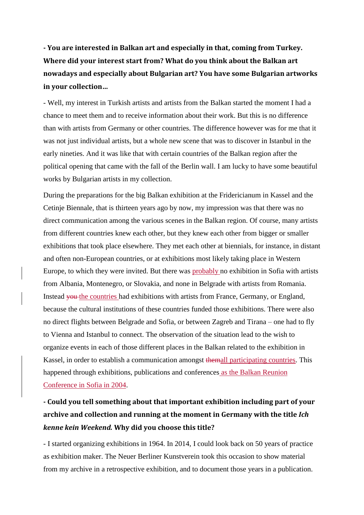**- You are interested in Balkan art and especially in that, coming from Turkey. Where did your interest start from? What do you think about the Balkan art nowadays and especially about Bulgarian art? You have some Bulgarian artworks in your collection…**

- Well, my interest in Turkish artists and artists from the Balkan started the moment I had a chance to meet them and to receive information about their work. But this is no difference than with artists from Germany or other countries. The difference however was for me that it was not just individual artists, but a whole new scene that was to discover in Istanbul in the early nineties. And it was like that with certain countries of the Balkan region after the political opening that came with the fall of the Berlin wall. I am lucky to have some beautiful works by Bulgarian artists in my collection.

During the preparations for the big Balkan exhibition at the Fridericianum in Kassel and the Cetinje Biennale, that is thirteen years ago by now, my impression was that there was no direct communication among the various scenes in the Balkan region. Of course, many artists from different countries knew each other, but they knew each other from bigger or smaller exhibitions that took place elsewhere. They met each other at biennials, for instance, in distant and often non-European countries, or at exhibitions most likely taking place in Western Europe, to which they were invited. But there was probably no exhibition in Sofia with artists from Albania, Montenegro, or Slovakia, and none in Belgrade with artists from Romania. Instead <del>you the countries</del> had exhibitions with artists from France, Germany, or England, because the cultural institutions of these countries funded those exhibitions. There were also no direct flights between Belgrade and Sofia, or between Zagreb and Tirana – one had to fly to Vienna and Istanbul to connect. The observation of the situation lead to the wish to organize events in each of those different places in the Balkan related to the exhibition in Kassel, in order to establish a communication amongst themall participating countries. This happened through exhibitions, publications and conferences as the Balkan Reunion Conference in Sofia in 2004.

## **- Could you tell something about that important exhibition including part of your archive and collection and running at the moment in Germany with the title** *Ich kenne kein Weekend.* **Why did you choose this title?**

- I started organizing exhibitions in 1964. In 2014, I could look back on 50 years of practice as exhibition maker. The Neuer Berliner Kunstverein took this occasion to show material from my archive in a retrospective exhibition, and to document those years in a publication.